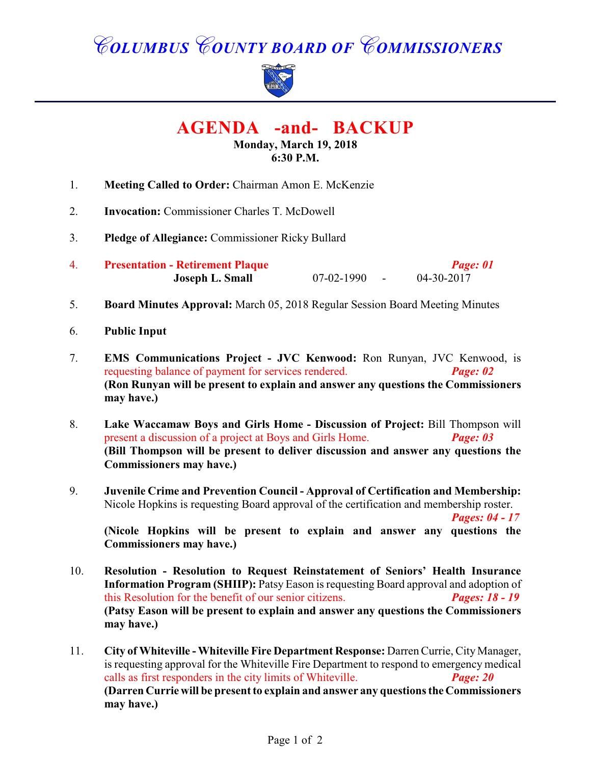# *COLUMBUS COUNTY BOARD OF COMMISSIONERS*



# **AGENDA -and- BACKUP**

# **Monday, March 19, 2018 6:30 P.M.**

- 1. **Meeting Called to Order:** Chairman Amon E. McKenzie 2. **Invocation:** Commissioner Charles T. McDowell 3. **Pledge of Allegiance:** Commissioner Ricky Bullard 4. **Presentation - Retirement Plaque** *Page: 01* **Joseph L. Small** 07-02-1990 - 04-30-2017 5. **Board Minutes Approval:** March 05, 2018 Regular Session Board Meeting Minutes 6. **Public Input** 7. **EMS Communications Project - JVC Kenwood:** Ron Runyan, JVC Kenwood, is requesting balance of payment for services rendered. *Page: 02*  **(Ron Runyan will be present to explain and answer any questions the Commissioners may have.)**
- 8. **Lake Waccamaw Boys and Girls Home Discussion of Project:** Bill Thompson will present a discussion of a project at Boys and Girls Home. *Page: 03* **(Bill Thompson will be present to deliver discussion and answer any questions the Commissioners may have.)**
- 9. **Juvenile Crime and Prevention Council Approval of Certification and Membership:** Nicole Hopkins is requesting Board approval of the certification and membership roster.

*Pages: 04 - 17*

**(Nicole Hopkins will be present to explain and answer any questions the Commissioners may have.)**

- 10. **Resolution Resolution to Request Reinstatement of Seniors' Health Insurance Information Program (SHIIP):** Patsy Eason is requesting Board approval and adoption of this Resolution for the benefit of our senior citizens. *Pages: 18 - 19* **(Patsy Eason will be present to explain and answer any questions the Commissioners may have.)**
- 11. **City of Whiteville Whiteville Fire Department Response:** Darren Currie, City Manager, is requesting approval for the Whiteville Fire Department to respond to emergency medical calls as first responders in the city limits of Whiteville. *Page: 20* **(Darren Currie will be present to explain and answer any questionsthe Commissioners may have.)**